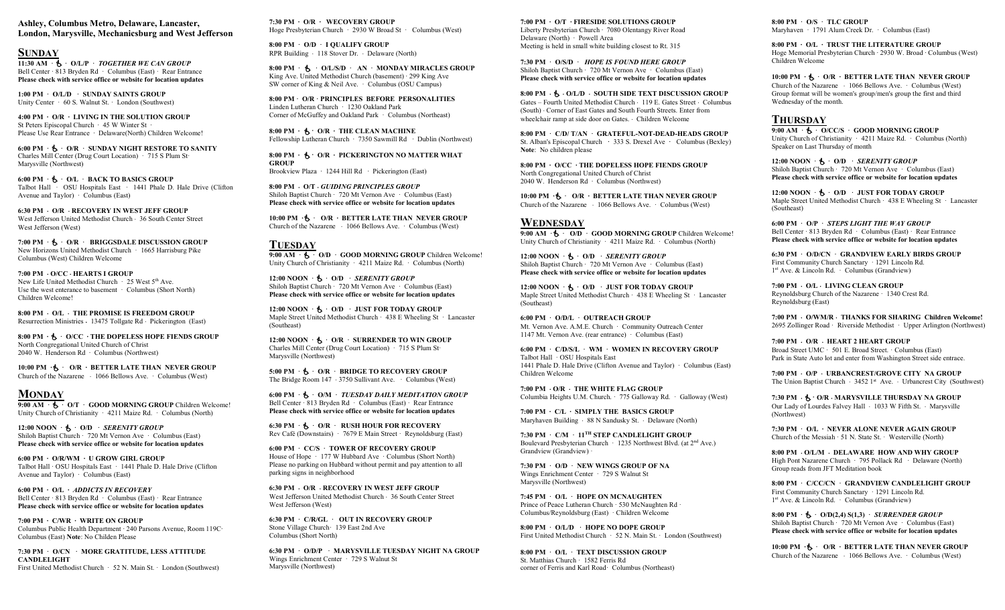Ashley, Columbus Metro, Delaware, Lancaster, London, Marysville, Mechanicsburg and West Jefferson

#### **SUNDAY**

 $11:30$  AM ·  $\bullet$  · O/L/P · TOGETHER WE CAN GROUP Bell Center · 813 Bryden Rd · Columbus (East) · Rear Entrance Please check with service office or website for location updates

1:00 PM · O/L/D · SUNDAY SAINTS GROUP Unity Center · 60 S. Walnut St. · London (Southwest)

4:00 PM ∙ O/R ∙ LIVING IN THE SOLUTION GROUP St Peters Episcopal Church ∙ 45 W Winter St ∙ Please Use Rear Entrance ∙ Delaware(North) Children Welcome!

6:00 PM  $\cdot$  **5**  $\cdot$  O/R  $\cdot$  SUNDAY NIGHT RESTORE TO SANITY Charles Mill Center (Drug Court Location) · 715 S Plum St· Marysville (Northwest)

6:00 PM  $\cdot$  **5**  $\cdot$  O/L  $\cdot$  BACK TO BASICS GROUP Talbot Hall · OSU Hospitals East · 1441 Phale D. Hale Drive (Clifton Avenue and Taylor)  $\cdot$  Columbus (East)

6:30 PM O/R RECOVERY IN WEST JEFF GROUP West Jefferson United Methodist Church · 36 South Center Street West Jefferson (West)

 $7:00$  PM  $\cdot$  **5.**  $\cdot$  O/R  $\cdot$  BRIGGSDALE DISCUSSION GROUP New Horizons United Methodist Church · 1665 Harrisburg Pike Columbus (West) Children Welcome

7:00 PM  $\cdot$  O/CC  $\cdot$  HEARTS I GROUP New Life United Methodist Church  $\cdot$  25 West 5<sup>th</sup> Ave. Use the west enterance to basement · Columbus (Short North) Children Welcome!

8:00 PM  $\cdot$  O/L  $\cdot$  THE PROMISE IS FREEDOM GROUP Resurrection Ministries · 13475 Tollgate Rd · Pickerington (East)

8:00 PM ⋅ S ⋅ O/CC ⋅ THE DOPELESS HOPE FIENDS GROUP North Congregational United Church of Christ 2040 W. Henderson Rd ∙ Columbus (Northwest)

10:00 PM ⋅ b ⋅ O/R ⋅ BETTER LATE THAN NEVER GROUP Church of the Nazarene 1066 Bellows Ave. · Columbus (West)

#### **MONDAY**

 $9:00 \text{ AM } \cdot \bullet \cdot 0$  O/T  $\cdot$  GOOD MORNING GROUP Children Welcome! Unity Church of Christianity · 4211 Maize Rd. · Columbus (North)

12:00 NOON  $\cdot$  **5**  $\cdot$  O/D  $\cdot$  *SERENITY GROUP* Shiloh Baptist Church · 720 Mt Vernon Ave · Columbus (East) Please check with service office or website for location updates

6:00 PM ∙ O/R/WM ∙ U GROW GIRL GROUP Talbot Hall · OSU Hospitals East · 1441 Phale D. Hale Drive (Clifton Avenue and Taylor) · Columbus (East)

6:00 PM ∙ O/L ∙ ADDICTS IN RECOVERY Bell Center · 813 Bryden Rd · Columbus (East) · Rear Entrance Please check with service office or website for location updates

7:00 PM ∙ C/WR ∙ WRITE ON GROUP Columbus Public Health Department ∙ 240 Parsons Avenue, Room 119C∙ Columbus (East) Note: No Childen Please

7:30 PM · O/CN · MORE GRATITUDE, LESS ATTITUDE **CANDLELIGHT** First United Methodist Church · 52 N. Main St. · London (Southwest) 7:30 PM ∙ O/R ∙ WECOVERY GROUP Hoge Presbyterian Church · 2930 W Broad St · Columbus (West)

8:00 PM · O/D · I QUALIFY GROUP RPR Building · 118 Stover Dr. · Delaware (North)

 $8:00 \text{ PM } \cdot \text{ A}$  · O/L/S/D · AN · MONDAY MIRACLES GROUP King Ave. United Methodist Church (basement) ∙ 299 King Ave SW corner of King & Neil Ave. · Columbus (OSU Campus)

8:00 PM · O/R · PRINCIPLES BEFORE PERSONALITIES Linden Lutheran Church · 1230 Oakland Park Corner of McGuffey and Oakland Park · Columbus (Northeast)

 $8:00$  PM  $\cdot$  ∱  $\cdot$  O/R  $\cdot$  THE CLEAN MACHINE Fellowship Lutheran Church ∙ 7350 Sawmill Rd ∙ Dublin (Northwest)

8:00 PM ⋅ ₺ ⋅ O/R ⋅ PICKERINGTON NO MATTER WHAT GROUP Brookview Plaza ∙ 1244 Hill Rd ∙ Pickerington (East)

 $8:00$  PM  $\cdot$  O/T  $\cdot$  GUIDING PRINCIPLES GROUP Shiloh Baptist Church · 720 Mt Vernon Ave · Columbus (East) Please check with service office or website for location updates

10:00 PM ⋅ <sup>k</sup> · O/R ⋅ BETTER LATE THAN NEVER GROUP Church of the Nazarene 1066 Bellows Ave. · Columbus (West)

**TUESDAY**  $9:00 \text{ AM } \cdot \bullet \cdot$  O/D · GOOD MORNING GROUP Children Welcome! Unity Church of Christianity · 4211 Maize Rd. · Columbus (North)

12:00 NOON  $\cdot$  **5**  $\cdot$  O/D  $\cdot$  *SERENITY GROUP* Shiloh Baptist Church · 720 Mt Vernon Ave · Columbus (East) Please check with service office or website for location updates

12:00 NOON  $\cdot$  **A**  $\cdot$  O/D  $\cdot$  JUST FOR TODAY GROUP Maple Street United Methodist Church · 438 E Wheeling St · Lancaster (Southeast)

12:00 NOON  $\cdot$  **5**  $\cdot$  O/R  $\cdot$  SURRENDER TO WIN GROUP Charles Mill Center (Drug Court Location) · 715 S Plum St· Marysville (Northwest)

5:00 PM  $\cdot$  **5**  $\cdot$  O/R  $\cdot$  BRIDGE TO RECOVERY GROUP The Bridge Room  $147 \cdot 3750$  Sullivant Ave.  $\cdot$  Columbus (West)

6:00 PM  $\cdot$  **5**  $\cdot$  O/M  $\cdot$  TUESDAY DAILY MEDITATION GROUP Bell Center · 813 Bryden Rd · Columbus (East) · Rear Entrance Please check with service office or website for location updates

6:30 PM  $\cdot$  **5**  $\cdot$  O/R  $\cdot$  RUSH HOUR FOR RECOVERY Rev Café (Downstairs) · 7679 E Main Street · Reynoldsburg (East)

6:00 PM · CC/S · TOWER OF RECOVERY GROUP House of Hope · 177 W Hubbard Ave · Columbus (Short North) Please no parking on Hubbard without permit and pay attention to all parking signs in neighborhood

 $6:30$  PM  $\cdot$  O/R  $\cdot$  RECOVERY IN WEST JEFF GROUP West Jefferson United Methodist Church  $\cdot$  36 South Center Street West Jefferson (West)

6:30 PM · C/R/GL · OUT IN RECOVERY GROUP Stone Village Church· 139 East 2nd Ave Columbus (Short North)

6:30 PM · O/D/P · MARYSVILLE TUESDAY NIGHT NA GROUP Wings Enrichment Center · 729 S Walnut St Marysville (Northwest)

7:00 PM ∙ O/T ∙ FIRESIDE SOLUTIONS GROUP Liberty Presbyterian Church ∙ 7080 Olentangy River Road Delaware (North) ∙ Powell Area Meeting is held in small white building closest to Rt. 315

7:30 PM · O/S/D · HOPE IS FOUND HERE GROUP Shiloh Baptist Church · 720 Mt Vernon Ave · Columbus (East) Please check with service office or website for location updates

 $8:00$  PM  $\cdot$  Sollar  $\cdot$  South side text discussion group Gates – Fourth United Methodist Church 119 E. Gates Street Columbus (South) Corner of East Gates and South Fourth Streets. Enter from wheelchair ramp at side door on Gates. Children Welcome

8:00 PM · C/D/ T/AN · GRATEFUL-NOT-DEAD-HEADS GROUP St. Alban's Episcopal Church · 333 S. Drexel Ave · Columbus (Bexley) Note: No children please

8:00 PM ⋅ O/CC ⋅ THE DOPELESS HOPE FIENDS GROUP North Congregational United Church of Christ 2040 W. Henderson Rd ∙ Columbus (Northwest)

10:00 PM ⋅ • O/R ⋅ BETTER LATE THAN NEVER GROUP Church of the Nazarene 1066 Bellows Ave. · Columbus (West)

### **WEDNESDAY**

 $9:00 \text{ AM } \cdot \bullet \cdot \overline{O/D}$  GOOD MORNING GROUP Children Welcome! Unity Church of Christianity · 4211 Maize Rd. · Columbus (North)

12:00 NOON  $\cdot$  **A**  $\cdot$  O/D  $\cdot$  *SERENITY GROUP* Shiloh Baptist Church · 720 Mt Vernon Ave · Columbus (East) Please check with service office or website for location updates

12:00 NOON  $\cdot$  **5**  $\cdot$  O/D  $\cdot$  JUST FOR TODAY GROUP Maple Street United Methodist Church · 438 E Wheeling St · Lancaster (Southeast)

6:00 PM · O/D/L · OUTREACH GROUP Mt. Vernon Ave. A.M.E. Church · Community Outreach Center 1147 Mt. Vernon Ave. (rear entrance) · Columbus (East)

6:00 PM · C/D/S/L · WM · WOMEN IN RECOVERY GROUP Talbot Hall · OSU Hospitals East 1441 Phale D. Hale Drive (Clifton Avenue and Taylor) · Columbus (East) Children Welcome

 $7:00$  PM  $\cdot$  O/R  $\cdot$  THE WHITE FLAG GROUP Columbia Heights U.M. Church. · 775 Galloway Rd. · Galloway (West)

7:00 PM ∙ C/L ∙ SIMPLY THE BASICS GROUP Maryhaven Building · 88 N Sandusky St. · Delaware (North)

7:30 PM  $\cdot$  C/M  $\cdot$  11<sup>th</sup> STEP CANDLELIGHT GROUP Boulevard Presbyterian Church · 1235 Northwest Blvd. (at 2nd Ave.) Grandview (Grandview) ·

7:30 PM · O/D · NEW WINGS GROUP OF NA Wings Enrichment Center · 729 S Walnut St Marysville (Northwest)

7:45 PM · O/L · HOPE ON MCNAUGHTEN Prince of Peace Lutheran Church · 530 McNaughten Rd Columbus/Reynoldsburg (East) · Children Welcome

8:00 PM · O/L/D · HOPE NO DOPE GROUP First United Methodist Church · 52 N. Main St. · London (Southwest)

8:00 PM · O/L · TEXT DISCUSSION GROUP St. Matthias Church · 1582 Ferris Rd corner of Ferris and Karl Road· Columbus (Northeast) 8:00 PM · O/S · TLC GROUP Maryhaven · 1791 Alum Creek Dr. · Columbus (East)

8:00 PM ∙ O/L ∙ TRUST THE LITERATURE GROUP Hoge Memorial Presbyterian Church ∙ 2930 W. Broad ∙ Columbus (West) Children Welcome

10:00 PM ⋅ ₺ ⋅ O/R ⋅ BETTER LATE THAN NEVER GROUP Church of the Nazarene 1066 Bellows Ave. · Columbus (West) Group format will be women's group/men's group the first and third Wednesday of the month.

## **THURSDAY**

 $9:00$  AM ·  $\bigcirc$  · O/CC/S · GOOD MORNING GROUP Unity Church of Christianity · 4211 Maize Rd. · Columbus (North) Speaker on Last Thursday of month

12:00 NOON  $\cdot$  **5**  $\cdot$  O/D  $\cdot$  *SERENITY GROUP* Shiloh Baptist Church · 720 Mt Vernon Ave · Columbus (East) Please check with service office or website for location updates

 $12:00 NOON \cdot A \cdot O/D \cdot JUST FOR TODAY GROUP$ Maple Street United Methodist Church · 438 E Wheeling St · Lancaster (Southeast)

6:00 PM · O/P · STEPS LIGHT THE WAY GROUP Bell Center · 813 Bryden Rd · Columbus (East) · Rear Entrance Please check with service office or website for location updates

6:30 PM · O/D/CN · GRANDVIEW EARLY BIRDS GROUP First Community Church Sanctary · 1291 Lincoln Rd. 1 st Ave. & Lincoln Rd. · Columbus (Grandview)

7:00 PM · O/L · LIVING CLEAN GROUP Reynoldsburg Church of the Nazarene · 1340 Crest Rd. Reynoldsburg (East)

7:00 PM · O/WM/R · THANKS FOR SHARING Children Welcome! 2695 Zollinger Road · Riverside Methodist · Upper Arlington (Northwest)

 $7:00$  PM  $\cdot$  O/R  $\cdot$  HEART 2 HEART GROUP Broad Street UMC · 501 E. Broad Street. · Columbus (East) Park in State Auto lot and enter from Washington Street side entrace.

7:00 PM · O/P · URBANCREST/GROVE CITY NA GROUP The Union Baptist Church  $\cdot$  3452 1<sup>st</sup> Ave.  $\cdot$  Urbancrest City (Southwest)

7:30 PM  $\cdot$   $\frac{1}{2}$   $\cdot$  O/R  $\cdot$  MARYSVILLE THURSDAY NA GROUP Our Lady of Lourdes Falvey Hall · 1033 W Fifth St. · Marysville (Northwest)

7:30 PM · O/L ∙ NEVER ALONE NEVER AGAIN GROUP Church of the Messiah · 51 N. State St. · Westerville (North)

8:00 PM  $\cdot$  O/L/M  $\cdot$  DELAWARE HOW AND WHY GROUP High Pont Nazarene Church ∙ 795 Pollack Rd ∙ Delaware (North) Group reads from JFT Meditation book

8:00 PM · C/CC/CN · GRANDVIEW CANDLELIGHT GROUP First Community Church Sanctary · 1291 Lincoln Rd. 1 st Ave. & Lincoln Rd. · Columbus (Grandview)

 $8:00 \text{ PM } \cdot \text{ A} \cdot \text{O/D}(2,4) \text{ S}(1,3) \cdot \text{ SURRENDER GROUP}$ Shiloh Baptist Church  $\cdot$  720 Mt Vernon Ave  $\cdot$  Columbus (East) Please check with service office or website for location updates

10:00 PM ⋅ S ⋅ O/R ⋅ BETTER LATE THAN NEVER GROUP Church of the Nazarene 1066 Bellows Ave. · Columbus (West)